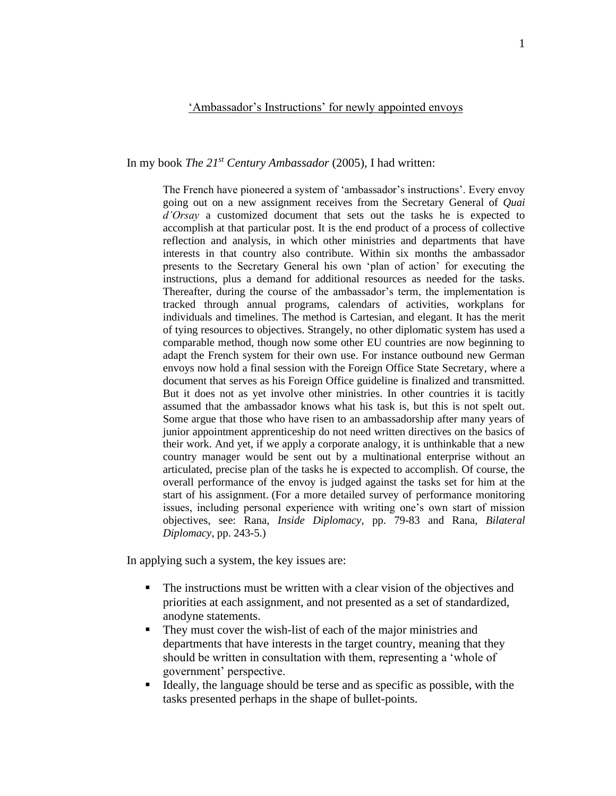## 'Ambassador's Instructions' for newly appointed envoys

In my book *The 21st Century Ambassador* (2005), I had written:

The French have pioneered a system of 'ambassador's instructions'. Every envoy going out on a new assignment receives from the Secretary General of *Quai d'Orsay* a customized document that sets out the tasks he is expected to accomplish at that particular post. It is the end product of a process of collective reflection and analysis, in which other ministries and departments that have interests in that country also contribute. Within six months the ambassador presents to the Secretary General his own 'plan of action' for executing the instructions, plus a demand for additional resources as needed for the tasks. Thereafter, during the course of the ambassador's term, the implementation is tracked through annual programs, calendars of activities, workplans for individuals and timelines. The method is Cartesian, and elegant. It has the merit of tying resources to objectives. Strangely, no other diplomatic system has used a comparable method, though now some other EU countries are now beginning to adapt the French system for their own use. For instance outbound new German envoys now hold a final session with the Foreign Office State Secretary, where a document that serves as his Foreign Office guideline is finalized and transmitted. But it does not as yet involve other ministries. In other countries it is tacitly assumed that the ambassador knows what his task is, but this is not spelt out. Some argue that those who have risen to an ambassadorship after many years of junior appointment apprenticeship do not need written directives on the basics of their work. And yet, if we apply a corporate analogy, it is unthinkable that a new country manager would be sent out by a multinational enterprise without an articulated, precise plan of the tasks he is expected to accomplish. Of course, the overall performance of the envoy is judged against the tasks set for him at the start of his assignment. (For a more detailed survey of performance monitoring issues, including personal experience with writing one's own start of mission objectives, see: Rana, *Inside Diplomacy*, pp. 79-83 and Rana, *Bilateral Diplomacy*, pp. 243-5.)

In applying such a system, the key issues are:

- The instructions must be written with a clear vision of the objectives and priorities at each assignment, and not presented as a set of standardized, anodyne statements.
- They must cover the wish-list of each of the major ministries and departments that have interests in the target country, meaning that they should be written in consultation with them, representing a 'whole of government' perspective.
- Ideally, the language should be terse and as specific as possible, with the tasks presented perhaps in the shape of bullet-points.